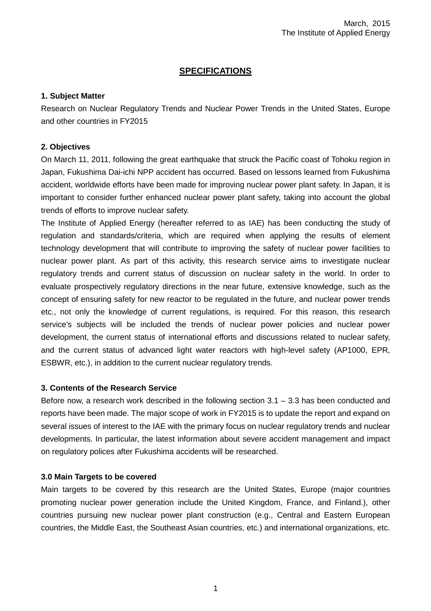## **SPECIFICATIONS**

### **1. Subject Matter**

Research on Nuclear Regulatory Trends and Nuclear Power Trends in the United States, Europe and other countries in FY2015

### **2. Objectives**

On March 11, 2011, following the great earthquake that struck the Pacific coast of Tohoku region in Japan, Fukushima Dai-ichi NPP accident has occurred. Based on lessons learned from Fukushima accident, worldwide efforts have been made for improving nuclear power plant safety. In Japan, it is important to consider further enhanced nuclear power plant safety, taking into account the global trends of efforts to improve nuclear safety.

The Institute of Applied Energy (hereafter referred to as IAE) has been conducting the study of regulation and standards/criteria, which are required when applying the results of element technology development that will contribute to improving the safety of nuclear power facilities to nuclear power plant. As part of this activity, this research service aims to investigate nuclear regulatory trends and current status of discussion on nuclear safety in the world. In order to evaluate prospectively regulatory directions in the near future, extensive knowledge, such as the concept of ensuring safety for new reactor to be regulated in the future, and nuclear power trends etc., not only the knowledge of current regulations, is required. For this reason, this research service's subjects will be included the trends of nuclear power policies and nuclear power development, the current status of international efforts and discussions related to nuclear safety, and the current status of advanced light water reactors with high-level safety (AP1000, EPR, ESBWR, etc.), in addition to the current nuclear regulatory trends.

## **3. Contents of the Research Service**

Before now, a research work described in the following section  $3.1 - 3.3$  has been conducted and reports have been made. The major scope of work in FY2015 is to update the report and expand on several issues of interest to the IAE with the primary focus on nuclear regulatory trends and nuclear developments. In particular, the latest information about severe accident management and impact on regulatory polices after Fukushima accidents will be researched.

## **3.0 Main Targets to be covered**

Main targets to be covered by this research are the United States, Europe (major countries promoting nuclear power generation include the United Kingdom, France, and Finland.), other countries pursuing new nuclear power plant construction (e.g., Central and Eastern European countries, the Middle East, the Southeast Asian countries, etc.) and international organizations, etc.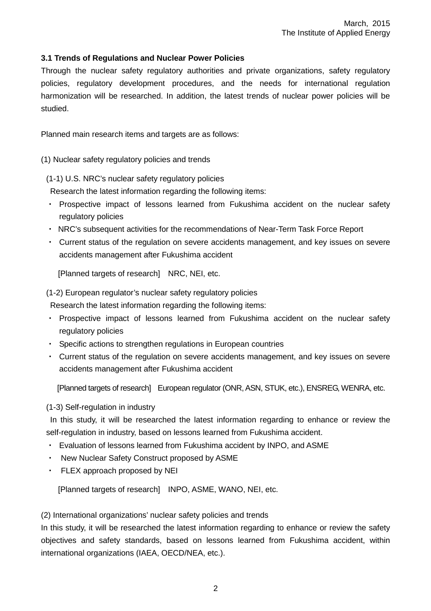## **3.1 Trends of Regulations and Nuclear Power Policies**

Through the nuclear safety regulatory authorities and private organizations, safety regulatory policies, regulatory development procedures, and the needs for international regulation harmonization will be researched. In addition, the latest trends of nuclear power policies will be studied.

Planned main research items and targets are as follows:

(1) Nuclear safety regulatory policies and trends

(1-1) U.S. NRC's nuclear safety regulatory policies

Research the latest information regarding the following items:

- ・ Prospective impact of lessons learned from Fukushima accident on the nuclear safety regulatory policies
- ・ NRC's subsequent activities for the recommendations of Near-Term Task Force Report
- ・ Current status of the regulation on severe accidents management, and key issues on severe accidents management after Fukushima accident

[Planned targets of research] NRC, NEI, etc.

(1-2) European regulator's nuclear safety regulatory policies

Research the latest information regarding the following items:

- ・ Prospective impact of lessons learned from Fukushima accident on the nuclear safety regulatory policies
- ・ Specific actions to strengthen regulations in European countries
- ・ Current status of the regulation on severe accidents management, and key issues on severe accidents management after Fukushima accident

[Planned targets of research] European regulator (ONR, ASN, STUK, etc.), ENSREG, WENRA, etc.

#### (1-3) Self-regulation in industry

In this study, it will be researched the latest information regarding to enhance or review the self-regulation in industry, based on lessons learned from Fukushima accident.

- ・ Evaluation of lessons learned from Fukushima accident by INPO, and ASME
- ・ New Nuclear Safety Construct proposed by ASME
- ・ FLEX approach proposed by NEI

[Planned targets of research] INPO, ASME, WANO, NEI, etc.

#### (2) International organizations' nuclear safety policies and trends

In this study, it will be researched the latest information regarding to enhance or review the safety objectives and safety standards, based on lessons learned from Fukushima accident, within international organizations (IAEA, OECD/NEA, etc.).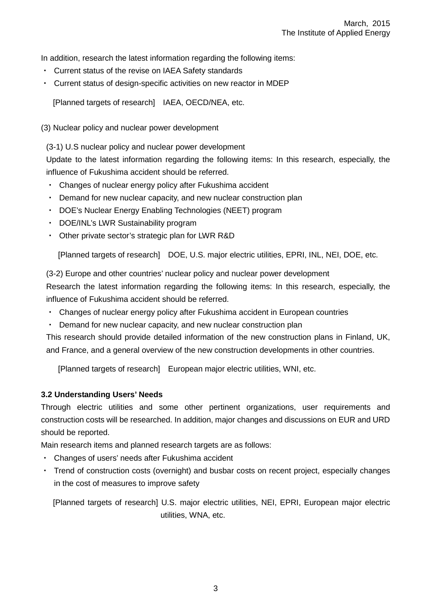In addition, research the latest information regarding the following items:

- ・ Current status of the revise on IAEA Safety standards
- ・ Current status of design-specific activities on new reactor in MDEP

[Planned targets of research] IAEA, OECD/NEA, etc.

(3) Nuclear policy and nuclear power development

(3-1) U.S nuclear policy and nuclear power development

Update to the latest information regarding the following items: In this research, especially, the influence of Fukushima accident should be referred.

- ・ Changes of nuclear energy policy after Fukushima accident
- ・ Demand for new nuclear capacity, and new nuclear construction plan
- ・ DOE's Nuclear Energy Enabling Technologies (NEET) program
- ・ DOE/INL's LWR Sustainability program
- ・ Other private sector's strategic plan for LWR R&D

[Planned targets of research] DOE, U.S. major electric utilities, EPRI, INL, NEI, DOE, etc.

(3-2) Europe and other countries' nuclear policy and nuclear power development Research the latest information regarding the following items: In this research, especially, the influence of Fukushima accident should be referred.

- ・ Changes of nuclear energy policy after Fukushima accident in European countries
- Demand for new nuclear capacity, and new nuclear construction plan

This research should provide detailed information of the new construction plans in Finland, UK, and France, and a general overview of the new construction developments in other countries.

[Planned targets of research] European major electric utilities, WNI, etc.

#### **3.2 Understanding Users' Needs**

Through electric utilities and some other pertinent organizations, user requirements and construction costs will be researched. In addition, major changes and discussions on EUR and URD should be reported.

Main research items and planned research targets are as follows:

- ・ Changes of users' needs after Fukushima accident
- Trend of construction costs (overnight) and busbar costs on recent project, especially changes in the cost of measures to improve safety

[Planned targets of research] U.S. major electric utilities, NEI, EPRI, European major electric utilities, WNA, etc.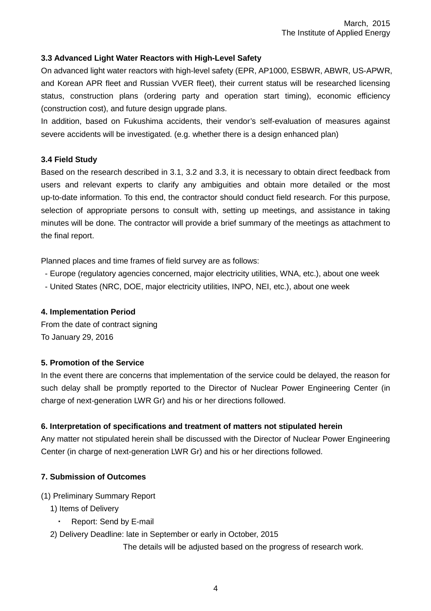## **3.3 Advanced Light Water Reactors with High-Level Safety**

On advanced light water reactors with high-level safety (EPR, AP1000, ESBWR, ABWR, US-APWR, and Korean APR fleet and Russian VVER fleet), their current status will be researched licensing status, construction plans (ordering party and operation start timing), economic efficiency (construction cost), and future design upgrade plans.

In addition, based on Fukushima accidents, their vendor's self-evaluation of measures against severe accidents will be investigated. (e.g. whether there is a design enhanced plan)

#### **3.4 Field Study**

Based on the research described in 3.1, 3.2 and 3.3, it is necessary to obtain direct feedback from users and relevant experts to clarify any ambiguities and obtain more detailed or the most up-to-date information. To this end, the contractor should conduct field research. For this purpose, selection of appropriate persons to consult with, setting up meetings, and assistance in taking minutes will be done. The contractor will provide a brief summary of the meetings as attachment to the final report.

Planned places and time frames of field survey are as follows:

- Europe (regulatory agencies concerned, major electricity utilities, WNA, etc.), about one week
- United States (NRC, DOE, major electricity utilities, INPO, NEI, etc.), about one week

#### **4. Implementation Period**

From the date of contract signing To January 29, 2016

#### **5. Promotion of the Service**

In the event there are concerns that implementation of the service could be delayed, the reason for such delay shall be promptly reported to the Director of Nuclear Power Engineering Center (in charge of next-generation LWR Gr) and his or her directions followed.

#### **6. Interpretation of specifications and treatment of matters not stipulated herein**

Any matter not stipulated herein shall be discussed with the Director of Nuclear Power Engineering Center (in charge of next-generation LWR Gr) and his or her directions followed.

#### **7. Submission of Outcomes**

- (1) Preliminary Summary Report
	- 1) Items of Delivery
		- Report: Send by E-mail
	- 2) Delivery Deadline: late in September or early in October, 2015

The details will be adjusted based on the progress of research work.